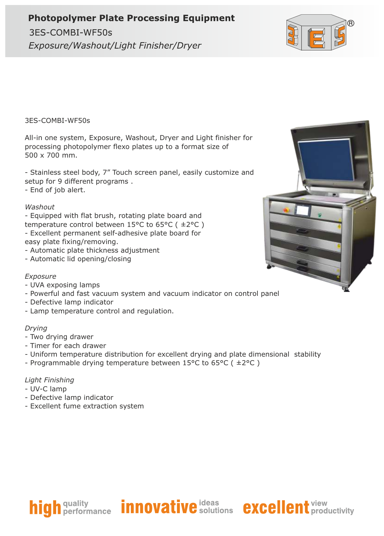## **Photopolymer Plate Processing Equipment**

3ES-COMBI-WF50s Exposure/Washout/Light Finisher/Dryer



3ES-COMBI-WF50s

All-in one system, Exposure, Washout, Dryer and Light finisher for processing photopolymer flexo plates up to a format size of 500 x 700 mm.

- Stainless steel body, 7" Touch screen panel, easily customize and setup for 9 different programs .

- End of job alert.

#### *Washout*

- Equipped with flat brush, rotating plate board and temperature control between 15°C to 65°C ( ±2°C ) - Excellent permanent self-adhesive plate board for easy plate fixing/removing.

- Automatic plate thickness adjustment
- Automatic lid opening/closing

### *Exposure*

- UVA exposing lamps
- Powerful and fast vacuum system and vacuum indicator on control panel
- Defective lamp indicator
- Lamp temperature control and regulation.

#### *Drying*

- Two drying drawer
- Timer for each drawer
- Uniform temperature distribution for excellent drying and plate dimensional stability
- Programmable drying temperature between 15°C to 65°C ( ±2°C )

#### *Light Finishing*

- UV-C lamp
- Defective lamp indicator
- Excellent fume extraction system